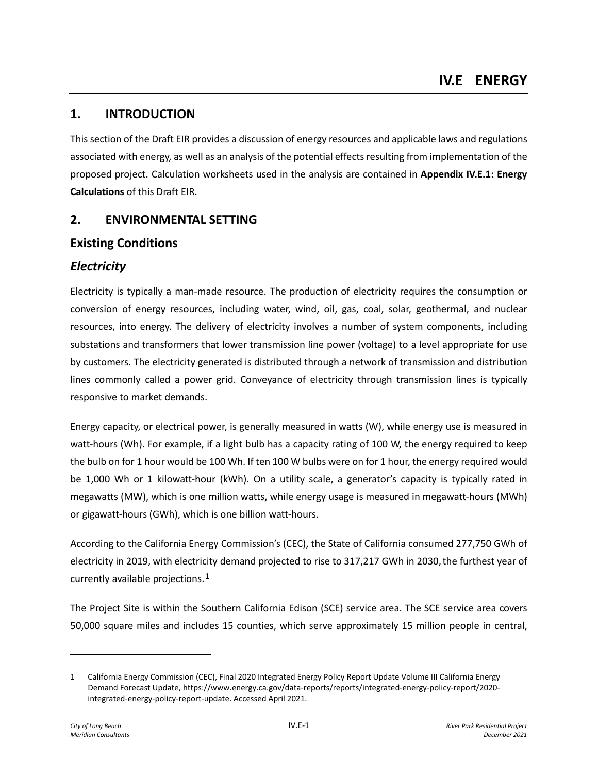# **1. INTRODUCTION**

This section of the Draft EIR provides a discussion of energy resources and applicable laws and regulations associated with energy, as well as an analysis of the potential effects resulting from implementation of the proposed project. Calculation worksheets used in the analysis are contained in **Appendix IV.E.1: Energy Calculations** of this Draft EIR.

## **2. ENVIRONMENTAL SETTING**

## **Existing Conditions**

## *Electricity*

Electricity is typically a man-made resource. The production of electricity requires the consumption or conversion of energy resources, including water, wind, oil, gas, coal, solar, geothermal, and nuclear resources, into energy. The delivery of electricity involves a number of system components, including substations and transformers that lower transmission line power (voltage) to a level appropriate for use by customers. The electricity generated is distributed through a network of transmission and distribution lines commonly called a power grid. Conveyance of electricity through transmission lines is typically responsive to market demands.

Energy capacity, or electrical power, is generally measured in watts (W), while energy use is measured in watt-hours (Wh). For example, if a light bulb has a capacity rating of 100 W, the energy required to keep the bulb on for 1 hour would be 100 Wh. If ten 100 W bulbs were on for 1 hour, the energy required would be 1,000 Wh or 1 kilowatt-hour (kWh). On a utility scale, a generator's capacity is typically rated in megawatts (MW), which is one million watts, while energy usage is measured in megawatt-hours (MWh) or gigawatt-hours (GWh), which is one billion watt-hours.

According to the California Energy Commission's (CEC), the State of California consumed 277,750 GWh of electricity in 2019, with electricity demand projected to rise to 317,217 GWh in 2030,the furthest year of currently available projections.[1](#page-0-0)

The Project Site is within the Southern California Edison (SCE) service area. The SCE service area covers 50,000 square miles and includes 15 counties, which serve approximately 15 million people in central,

<span id="page-0-0"></span><sup>1</sup> California Energy Commission (CEC), Final 2020 Integrated Energy Policy Report Update Volume III California Energy Demand Forecast Update, https://www.energy.ca.gov/data-reports/reports/integrated-energy-policy-report/2020 integrated-energy-policy-report-update. Accessed April 2021.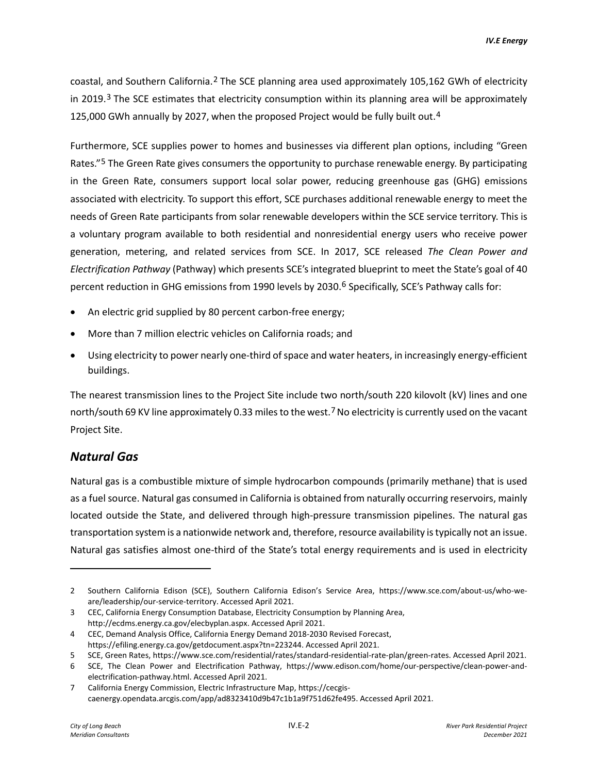coastal, and Southern California.<sup>[2](#page-1-0)</sup> The SCE planning area used approximately 105,162 GWh of electricity in 2019. $3$  The SCE estimates that electricity consumption within its planning area will be approximately 125,000 GWh annually by 2027, when the proposed Project would be fully built out.<sup>[4](#page-1-2)</sup>

Furthermore, SCE supplies power to homes and businesses via different plan options, including "Green Rates."<sup>[5](#page-1-3)</sup> The Green Rate gives consumers the opportunity to purchase renewable energy. By participating in the Green Rate, consumers support local solar power, reducing greenhouse gas (GHG) emissions associated with electricity. To support this effort, SCE purchases additional renewable energy to meet the needs of Green Rate participants from solar renewable developers within the SCE service territory. This is a voluntary program available to both residential and nonresidential energy users who receive power generation, metering, and related services from SCE. In 2017, SCE released *The Clean Power and Electrification Pathway* (Pathway) which presents SCE's integrated blueprint to meet the State's goal of 40 percent reduction in GHG emissions from 1990 levels by 2030.<sup>[6](#page-1-4)</sup> Specifically, SCE's Pathway calls for:

- An electric grid supplied by 80 percent carbon-free energy;
- More than 7 million electric vehicles on California roads; and
- Using electricity to power nearly one-third of space and water heaters, in increasingly energy-efficient buildings.

The nearest transmission lines to the Project Site include two north/south 220 kilovolt (kV) lines and one north/south 69 KV line approximately 0.33 miles to the west.<sup>[7](#page-1-5)</sup> No electricity is currently used on the vacant Project Site.

#### *Natural Gas*

Natural gas is a combustible mixture of simple hydrocarbon compounds (primarily methane) that is used as a fuel source. Natural gas consumed in California is obtained from naturally occurring reservoirs, mainly located outside the State, and delivered through high-pressure transmission pipelines. The natural gas transportation system is a nationwide network and, therefore, resource availability is typically not an issue. Natural gas satisfies almost one-third of the State's total energy requirements and is used in electricity

<span id="page-1-0"></span><sup>2</sup> Southern California Edison (SCE), Southern California Edison's Service Area, https://www.sce.com/about-us/who-weare/leadership/our-service-territory. Accessed April 2021.

<span id="page-1-1"></span><sup>3</sup> CEC, California Energy Consumption Database, Electricity Consumption by Planning Area, http://ecdms.energy.ca.gov/elecbyplan.aspx. Accessed April 2021.

<span id="page-1-2"></span><sup>4</sup> CEC, Demand Analysis Office, California Energy Demand 2018-2030 Revised Forecast, https://efiling.energy.ca.gov/getdocument.aspx?tn=223244. Accessed April 2021.

<span id="page-1-3"></span><sup>5</sup> SCE, Green Rates, https://www.sce.com/residential/rates/standard-residential-rate-plan/green-rates. Accessed April 2021.

<span id="page-1-4"></span><sup>6</sup> SCE, The Clean Power and Electrification Pathway, https://www.edison.com/home/our-perspective/clean-power-andelectrification-pathway.html. Accessed April 2021.

<span id="page-1-5"></span><sup>7</sup> California Energy Commission, Electric Infrastructure Map, https://cecgiscaenergy.opendata.arcgis.com/app/ad8323410d9b47c1b1a9f751d62fe495. Accessed April 2021.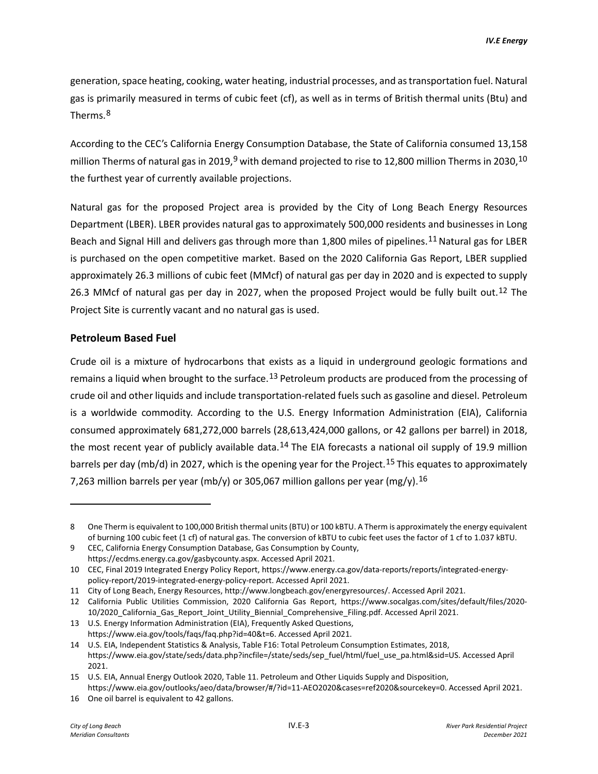generation, space heating, cooking, water heating, industrial processes, and as transportation fuel. Natural gas is primarily measured in terms of cubic feet (cf), as well as in terms of British thermal units (Btu) and Therms.[8](#page-2-0)

According to the CEC's California Energy Consumption Database, the State of California consumed 13,158 million Therms of natural gas in 201[9](#page-2-1),<sup>9</sup> with demand projected to rise to 12,800 million Therms in 2030,<sup>[10](#page-2-2)</sup> the furthest year of currently available projections.

Natural gas for the proposed Project area is provided by the City of Long Beach Energy Resources Department (LBER). LBER provides natural gas to approximately 500,000 residents and businesses in Long Beach and Signal Hill and delivers gas through more than 1,800 miles of pipelines.<sup>[11](#page-2-3)</sup> Natural gas for LBER is purchased on the open competitive market. Based on the 2020 California Gas Report, LBER supplied approximately 26.3 millions of cubic feet (MMcf) of natural gas per day in 2020 and is expected to supply 26.3 MMcf of natural gas per day in 2027, when the proposed Project would be fully built out.<sup>[12](#page-2-4)</sup> The Project Site is currently vacant and no natural gas is used.

#### **Petroleum Based Fuel**

Crude oil is a mixture of hydrocarbons that exists as a liquid in underground geologic formations and remains a liquid when brought to the surface.<sup>[13](#page-2-5)</sup> Petroleum products are produced from the processing of crude oil and other liquids and include transportation-related fuels such as gasoline and diesel. Petroleum is a worldwide commodity. According to the U.S. Energy Information Administration (EIA), California consumed approximately 681,272,000 barrels (28,613,424,000 gallons, or 42 gallons per barrel) in 2018, the most recent year of publicly available data.<sup>[14](#page-2-6)</sup> The EIA forecasts a national oil supply of 19.9 million barrels per day (mb/d) in 2027, which is the opening year for the Project.<sup>[15](#page-2-7)</sup> This equates to approximately 7,263 million barrels per year (mb/y) or 305,067 million gallons per year (mg/y).<sup>[16](#page-2-8)</sup>

<span id="page-2-0"></span><sup>8</sup> One Therm is equivalent to 100,000 British thermal units (BTU) or 100 kBTU. A Therm is approximately the energy equivalent of burning 100 cubic feet (1 cf) of natural gas. The conversion of kBTU to cubic feet uses the factor of 1 cf to 1.037 kBTU.

<span id="page-2-1"></span><sup>9</sup> CEC, California Energy Consumption Database, Gas Consumption by County, https://ecdms.energy.ca.gov/gasbycounty.aspx. Accessed April 2021.

<span id="page-2-2"></span><sup>10</sup> CEC, Final 2019 Integrated Energy Policy Report, https://www.energy.ca.gov/data-reports/reports/integrated-energypolicy-report/2019-integrated-energy-policy-report. Accessed April 2021.

<span id="page-2-3"></span><sup>11</sup> City of Long Beach, Energy Resources, http://www.longbeach.gov/energyresources/. Accessed April 2021.

<span id="page-2-4"></span><sup>12</sup> California Public Utilities Commission, 2020 California Gas Report, https://www.socalgas.com/sites/default/files/2020- 10/2020\_California\_Gas\_Report\_Joint\_Utility\_Biennial\_Comprehensive\_Filing.pdf. Accessed April 2021.

<span id="page-2-5"></span><sup>13</sup> U.S. Energy Information Administration (EIA), Frequently Asked Questions, https://www.eia.gov/tools/faqs/faq.php?id=40&t=6. Accessed April 2021.

<span id="page-2-6"></span><sup>14</sup> U.S. EIA, Independent Statistics & Analysis, Table F16: Total Petroleum Consumption Estimates, 2018, https://www.eia.gov/state/seds/data.php?incfile=/state/seds/sep\_fuel/html/fuel\_use\_pa.html&sid=US. Accessed April 2021.

<span id="page-2-7"></span><sup>15</sup> U.S. EIA, Annual Energy Outlook 2020, Table 11. Petroleum and Other Liquids Supply and Disposition, https://www.eia.gov/outlooks/aeo/data/browser/#/?id=11-AEO2020&cases=ref2020&sourcekey=0. Accessed April 2021.

<span id="page-2-8"></span><sup>16</sup> One oil barrel is equivalent to 42 gallons.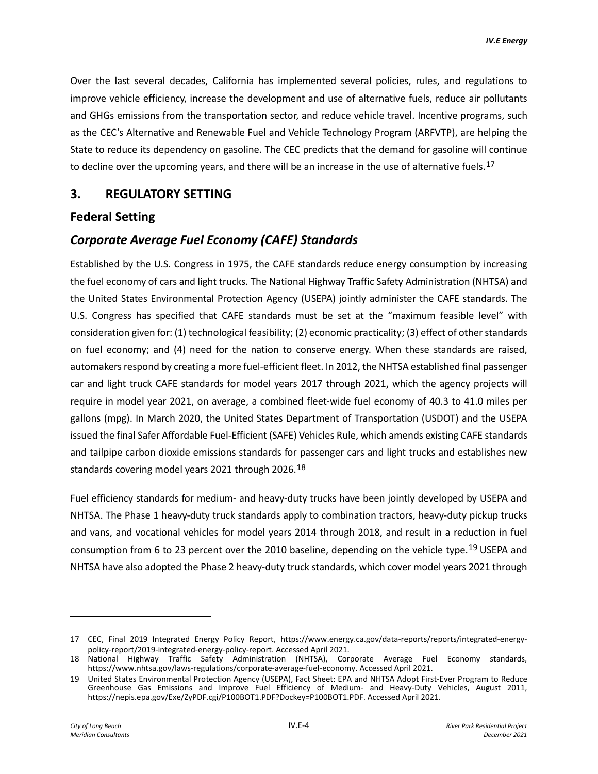Over the last several decades, California has implemented several policies, rules, and regulations to improve vehicle efficiency, increase the development and use of alternative fuels, reduce air pollutants and GHGs emissions from the transportation sector, and reduce vehicle travel. Incentive programs, such as the CEC's Alternative and Renewable Fuel and Vehicle Technology Program (ARFVTP), are helping the State to reduce its dependency on gasoline. The CEC predicts that the demand for gasoline will continue to decline over the upcoming years, and there will be an increase in the use of alternative fuels.<sup>[17](#page-3-0)</sup>

## **3. REGULATORY SETTING**

#### **Federal Setting**

## *Corporate Average Fuel Economy (CAFE) Standards*

Established by the U.S. Congress in 1975, the CAFE standards reduce energy consumption by increasing the fuel economy of cars and light trucks. The National Highway Traffic Safety Administration (NHTSA) and the United States Environmental Protection Agency (USEPA) jointly administer the CAFE standards. The U.S. Congress has specified that CAFE standards must be set at the "maximum feasible level" with consideration given for: (1) technological feasibility; (2) economic practicality; (3) effect of other standards on fuel economy; and (4) need for the nation to conserve energy. When these standards are raised, automakers respond by creating a more fuel-efficient fleet. In 2012, the NHTSA established final passenger car and light truck CAFE standards for model years 2017 through 2021, which the agency projects will require in model year 2021, on average, a combined fleet-wide fuel economy of 40.3 to 41.0 miles per gallons (mpg). In March 2020, the United States Department of Transportation (USDOT) and the USEPA issued the final Safer Affordable Fuel-Efficient (SAFE) Vehicles Rule, which amends existing CAFE standards and tailpipe carbon dioxide emissions standards for passenger cars and light trucks and establishes new standards covering model years 2021 through 2026.[18](#page-3-1)

Fuel efficiency standards for medium- and heavy-duty trucks have been jointly developed by USEPA and NHTSA. The Phase 1 heavy-duty truck standards apply to combination tractors, heavy-duty pickup trucks and vans, and vocational vehicles for model years 2014 through 2018, and result in a reduction in fuel consumption from 6 to 23 percent over the 2010 baseline, depending on the vehicle type.[19](#page-3-2) USEPA and NHTSA have also adopted the Phase 2 heavy-duty truck standards, which cover model years 2021 through

<span id="page-3-0"></span><sup>17</sup> CEC, Final 2019 Integrated Energy Policy Report, https://www.energy.ca.gov/data-reports/reports/integrated-energypolicy-report/2019-integrated-energy-policy-report. Accessed April 2021.

<span id="page-3-1"></span><sup>18</sup> National Highway Traffic Safety Administration (NHTSA), Corporate Average Fuel Economy standards, https://www.nhtsa.gov/laws-regulations/corporate-average-fuel-economy. Accessed April 2021.

<span id="page-3-2"></span><sup>19</sup> United States Environmental Protection Agency (USEPA), Fact Sheet: EPA and NHTSA Adopt First-Ever Program to Reduce Greenhouse Gas Emissions and Improve Fuel Efficiency of Medium- and Heavy-Duty Vehicles, August 2011, https://nepis.epa.gov/Exe/ZyPDF.cgi/P100BOT1.PDF?Dockey=P100BOT1.PDF. Accessed April 2021.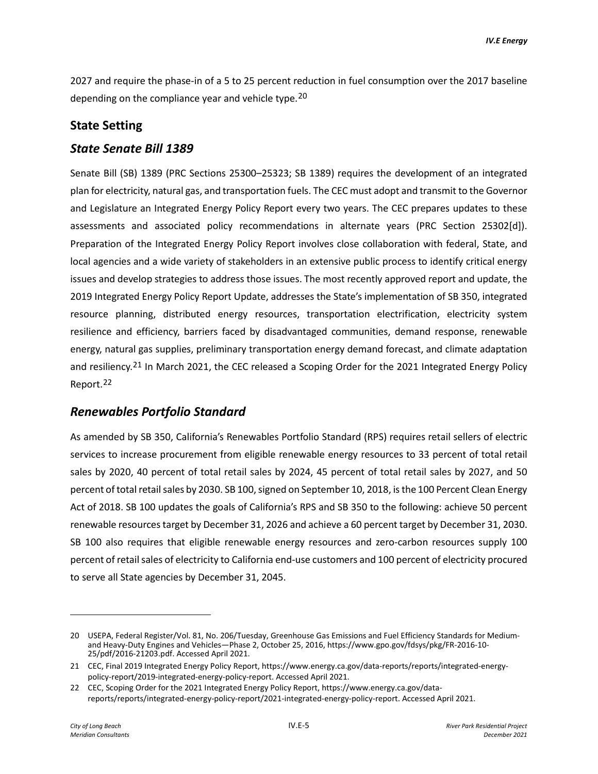2027 and require the phase-in of a 5 to 25 percent reduction in fuel consumption over the 2017 baseline depending on the compliance year and vehicle type.<sup>[20](#page-4-0)</sup>

#### **State Setting**

#### *State Senate Bill 1389*

Senate Bill (SB) 1389 (PRC Sections 25300–25323; SB 1389) requires the development of an integrated plan for electricity, natural gas, and transportation fuels. The CEC must adopt and transmit to the Governor and Legislature an Integrated Energy Policy Report every two years. The CEC prepares updates to these assessments and associated policy recommendations in alternate years (PRC Section 25302[d]). Preparation of the Integrated Energy Policy Report involves close collaboration with federal, State, and local agencies and a wide variety of stakeholders in an extensive public process to identify critical energy issues and develop strategies to address those issues. The most recently approved report and update, the 2019 Integrated Energy Policy Report Update, addresses the State's implementation of SB 350, integrated resource planning, distributed energy resources, transportation electrification, electricity system resilience and efficiency, barriers faced by disadvantaged communities, demand response, renewable energy, natural gas supplies, preliminary transportation energy demand forecast, and climate adaptation and resiliency.<sup>[21](#page-4-1)</sup> In March 2021, the CEC released a Scoping Order for the 2021 Integrated Energy Policy Report.[22](#page-4-2)

#### *Renewables Portfolio Standard*

As amended by SB 350, California's Renewables Portfolio Standard (RPS) requires retail sellers of electric services to increase procurement from eligible renewable energy resources to 33 percent of total retail sales by 2020, 40 percent of total retail sales by 2024, 45 percent of total retail sales by 2027, and 50 percent of total retail sales by 2030. SB 100, signed on September 10, 2018, is the 100 Percent Clean Energy Act of 2018. SB 100 updates the goals of California's RPS and SB 350 to the following: achieve 50 percent renewable resources target by December 31, 2026 and achieve a 60 percent target by December 31, 2030. SB 100 also requires that eligible renewable energy resources and zero-carbon resources supply 100 percent of retail sales of electricity to California end-use customers and 100 percent of electricity procured to serve all State agencies by December 31, 2045.

<span id="page-4-0"></span><sup>20</sup> USEPA, Federal Register/Vol. 81, No. 206/Tuesday, Greenhouse Gas Emissions and Fuel Efficiency Standards for Mediumand Heavy-Duty Engines and Vehicles—Phase 2, October 25, 2016, https://www.gpo.gov/fdsys/pkg/FR-2016-10- 25/pdf/2016-21203.pdf. Accessed April 2021.

<span id="page-4-1"></span><sup>21</sup> CEC, Final 2019 Integrated Energy Policy Report, https://www.energy.ca.gov/data-reports/reports/integrated-energypolicy-report/2019-integrated-energy-policy-report. Accessed April 2021.

<span id="page-4-2"></span><sup>22</sup> CEC, Scoping Order for the 2021 Integrated Energy Policy Report, https://www.energy.ca.gov/datareports/reports/integrated-energy-policy-report/2021-integrated-energy-policy-report. Accessed April 2021.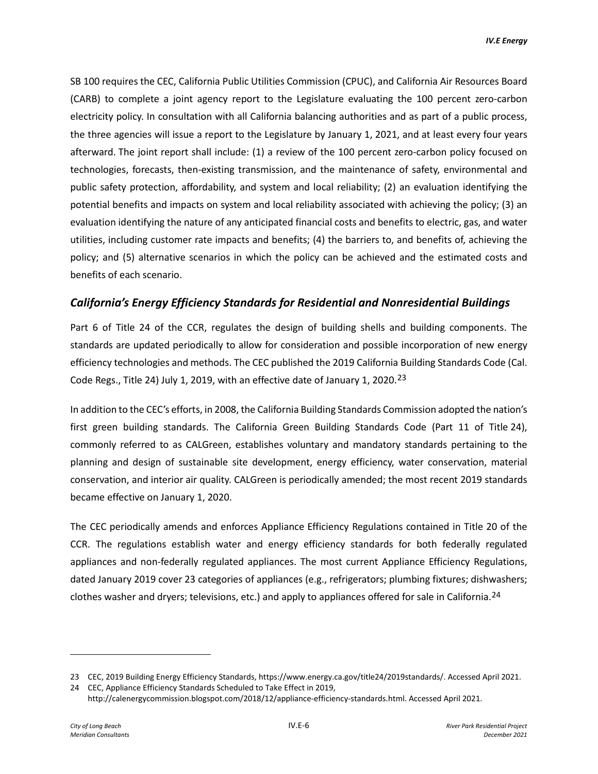SB 100 requires the CEC, California Public Utilities Commission (CPUC), and California Air Resources Board (CARB) to complete a joint agency report to the Legislature evaluating the 100 percent zero-carbon electricity policy. In consultation with all California balancing authorities and as part of a public process, the three agencies will issue a report to the Legislature by January 1, 2021, and at least every four years afterward. The joint report shall include: (1) a review of the 100 percent zero-carbon policy focused on technologies, forecasts, then-existing transmission, and the maintenance of safety, environmental and public safety protection, affordability, and system and local reliability; (2) an evaluation identifying the potential benefits and impacts on system and local reliability associated with achieving the policy; (3) an evaluation identifying the nature of any anticipated financial costs and benefits to electric, gas, and water utilities, including customer rate impacts and benefits; (4) the barriers to, and benefits of, achieving the policy; and (5) alternative scenarios in which the policy can be achieved and the estimated costs and benefits of each scenario.

### *California's Energy Efficiency Standards for Residential and Nonresidential Buildings*

Part 6 of Title 24 of the CCR, regulates the design of building shells and building components. The standards are updated periodically to allow for consideration and possible incorporation of new energy efficiency technologies and methods. The CEC published the 2019 California Building Standards Code (Cal. Code Regs., Title 24) July 1, 2019, with an effective date of January 1, 2020.<sup>[23](#page-5-0)</sup>

In addition to the CEC's efforts, in 2008, the California Building Standards Commission adopted the nation's first green building standards. The California Green Building Standards Code (Part 11 of Title 24), commonly referred to as CALGreen, establishes voluntary and mandatory standards pertaining to the planning and design of sustainable site development, energy efficiency, water conservation, material conservation, and interior air quality. CALGreen is periodically amended; the most recent 2019 standards became effective on January 1, 2020.

The CEC periodically amends and enforces Appliance Efficiency Regulations contained in Title 20 of the CCR. The regulations establish water and energy efficiency standards for both federally regulated appliances and non-federally regulated appliances. The most current Appliance Efficiency Regulations, dated January 2019 cover 23 categories of appliances (e.g., refrigerators; plumbing fixtures; dishwashers; clothes washer and dryers; televisions, etc.) and apply to appliances offered for sale in California.[24](#page-5-1)

<span id="page-5-0"></span><sup>23</sup> CEC, 2019 Building Energy Efficiency Standards, https://www.energy.ca.gov/title24/2019standards/. Accessed April 2021.

<span id="page-5-1"></span><sup>24</sup> CEC, Appliance Efficiency Standards Scheduled to Take Effect in 2019,

http://calenergycommission.blogspot.com/2018/12/appliance-efficiency-standards.html. Accessed April 2021.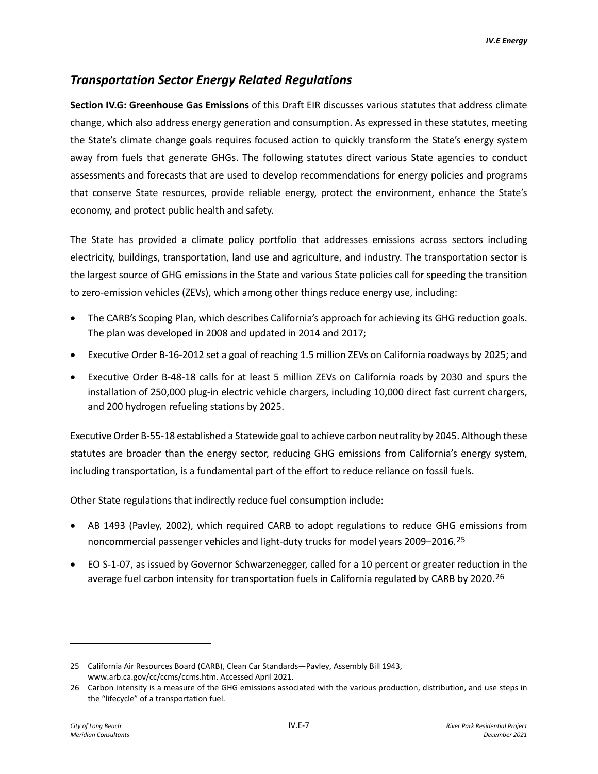## *Transportation Sector Energy Related Regulations*

**Section IV.G: Greenhouse Gas Emissions** of this Draft EIR discusses various statutes that address climate change, which also address energy generation and consumption. As expressed in these statutes, meeting the State's climate change goals requires focused action to quickly transform the State's energy system away from fuels that generate GHGs. The following statutes direct various State agencies to conduct assessments and forecasts that are used to develop recommendations for energy policies and programs that conserve State resources, provide reliable energy, protect the environment, enhance the State's economy, and protect public health and safety.

The State has provided a climate policy portfolio that addresses emissions across sectors including electricity, buildings, transportation, land use and agriculture, and industry. The transportation sector is the largest source of GHG emissions in the State and various State policies call for speeding the transition to zero-emission vehicles (ZEVs), which among other things reduce energy use, including:

- The CARB's Scoping Plan, which describes California's approach for achieving its GHG reduction goals. The plan was developed in 2008 and updated in 2014 and 2017;
- Executive Order B-16-2012 set a goal of reaching 1.5 million ZEVs on California roadways by 2025; and
- Executive Order B-48-18 calls for at least 5 million ZEVs on California roads by 2030 and spurs the installation of 250,000 plug-in electric vehicle chargers, including 10,000 direct fast current chargers, and 200 hydrogen refueling stations by 2025.

Executive Order B-55-18 established a Statewide goal to achieve carbon neutrality by 2045. Although these statutes are broader than the energy sector, reducing GHG emissions from California's energy system, including transportation, is a fundamental part of the effort to reduce reliance on fossil fuels.

Other State regulations that indirectly reduce fuel consumption include:

- AB 1493 (Pavley, 2002), which required CARB to adopt regulations to reduce GHG emissions from noncommercial passenger vehicles and light-duty trucks for model years 2009–2016.[25](#page-6-0)
- EO S-1-07, as issued by Governor Schwarzenegger, called for a 10 percent or greater reduction in the average fuel carbon intensity for transportation fuels in California regulated by CARB by 2020.<sup>[26](#page-6-1)</sup>

<span id="page-6-0"></span><sup>25</sup> California Air Resources Board (CARB), Clean Car Standards—Pavley, Assembly Bill 1943, www.arb.ca.gov/cc/ccms/ccms.htm. Accessed April 2021.

<span id="page-6-1"></span><sup>26</sup> Carbon intensity is a measure of the GHG emissions associated with the various production, distribution, and use steps in the "lifecycle" of a transportation fuel.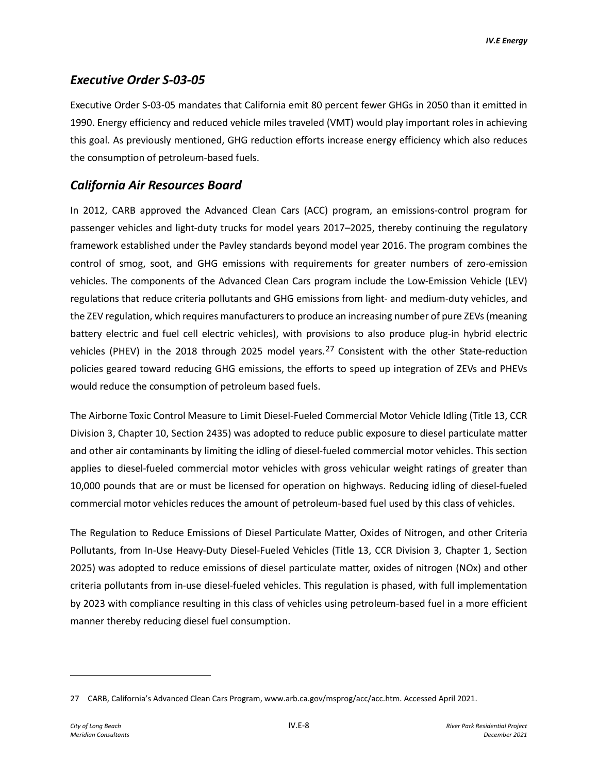## *Executive Order S-03-05*

Executive Order S-03-05 mandates that California emit 80 percent fewer GHGs in 2050 than it emitted in 1990. Energy efficiency and reduced vehicle miles traveled (VMT) would play important roles in achieving this goal. As previously mentioned, GHG reduction efforts increase energy efficiency which also reduces the consumption of petroleum-based fuels.

## *California Air Resources Board*

In 2012, CARB approved the Advanced Clean Cars (ACC) program, an emissions-control program for passenger vehicles and light-duty trucks for model years 2017–2025, thereby continuing the regulatory framework established under the Pavley standards beyond model year 2016. The program combines the control of smog, soot, and GHG emissions with requirements for greater numbers of zero-emission vehicles. The components of the Advanced Clean Cars program include the Low-Emission Vehicle (LEV) regulations that reduce criteria pollutants and GHG emissions from light- and medium-duty vehicles, and the ZEV regulation, which requires manufacturers to produce an increasing number of pure ZEVs (meaning battery electric and fuel cell electric vehicles), with provisions to also produce plug-in hybrid electric vehicles (PHEV) in the 2018 through 2025 model years.<sup>[27](#page-7-0)</sup> Consistent with the other State-reduction policies geared toward reducing GHG emissions, the efforts to speed up integration of ZEVs and PHEVs would reduce the consumption of petroleum based fuels.

The Airborne Toxic Control Measure to Limit Diesel-Fueled Commercial Motor Vehicle Idling (Title 13, CCR Division 3, Chapter 10, Section 2435) was adopted to reduce public exposure to diesel particulate matter and other air contaminants by limiting the idling of diesel-fueled commercial motor vehicles. This section applies to diesel-fueled commercial motor vehicles with gross vehicular weight ratings of greater than 10,000 pounds that are or must be licensed for operation on highways. Reducing idling of diesel-fueled commercial motor vehicles reduces the amount of petroleum-based fuel used by this class of vehicles.

The Regulation to Reduce Emissions of Diesel Particulate Matter, Oxides of Nitrogen, and other Criteria Pollutants, from In-Use Heavy-Duty Diesel-Fueled Vehicles (Title 13, CCR Division 3, Chapter 1, Section 2025) was adopted to reduce emissions of diesel particulate matter, oxides of nitrogen (NOx) and other criteria pollutants from in-use diesel-fueled vehicles. This regulation is phased, with full implementation by 2023 with compliance resulting in this class of vehicles using petroleum-based fuel in a more efficient manner thereby reducing diesel fuel consumption.

<span id="page-7-0"></span><sup>27</sup> CARB, California's Advanced Clean Cars Program, www.arb.ca.gov/msprog/acc/acc.htm. Accessed April 2021.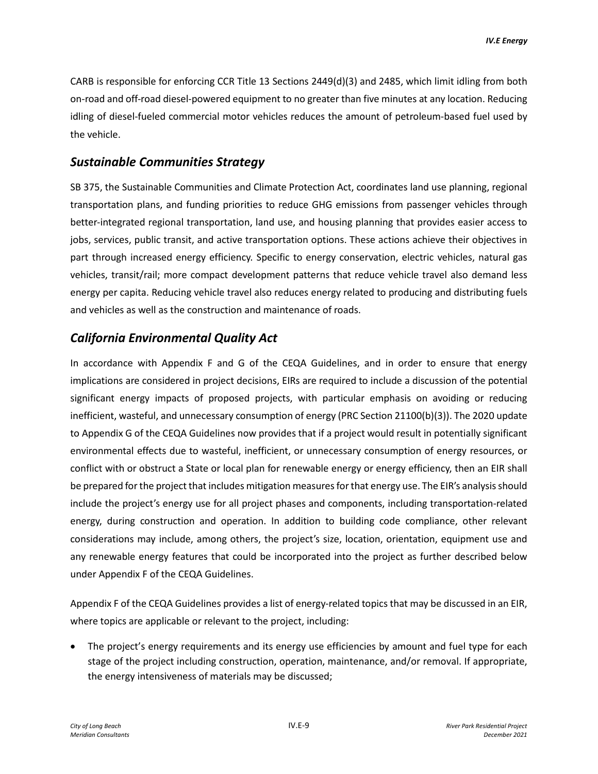CARB is responsible for enforcing CCR Title 13 Sections 2449(d)(3) and 2485, which limit idling from both on-road and off-road diesel-powered equipment to no greater than five minutes at any location. Reducing idling of diesel-fueled commercial motor vehicles reduces the amount of petroleum-based fuel used by the vehicle.

### *Sustainable Communities Strategy*

SB 375, the Sustainable Communities and Climate Protection Act, coordinates land use planning, regional transportation plans, and funding priorities to reduce GHG emissions from passenger vehicles through better-integrated regional transportation, land use, and housing planning that provides easier access to jobs, services, public transit, and active transportation options. These actions achieve their objectives in part through increased energy efficiency. Specific to energy conservation, electric vehicles, natural gas vehicles, transit/rail; more compact development patterns that reduce vehicle travel also demand less energy per capita. Reducing vehicle travel also reduces energy related to producing and distributing fuels and vehicles as well as the construction and maintenance of roads.

## *California Environmental Quality Act*

In accordance with Appendix F and G of the CEQA Guidelines, and in order to ensure that energy implications are considered in project decisions, EIRs are required to include a discussion of the potential significant energy impacts of proposed projects, with particular emphasis on avoiding or reducing inefficient, wasteful, and unnecessary consumption of energy (PRC Section 21100(b)(3)). The 2020 update to Appendix G of the CEQA Guidelines now provides that if a project would result in potentially significant environmental effects due to wasteful, inefficient, or unnecessary consumption of energy resources, or conflict with or obstruct a State or local plan for renewable energy or energy efficiency, then an EIR shall be prepared for the project that includes mitigation measures for that energy use. The EIR's analysis should include the project's energy use for all project phases and components, including transportation-related energy, during construction and operation. In addition to building code compliance, other relevant considerations may include, among others, the project's size, location, orientation, equipment use and any renewable energy features that could be incorporated into the project as further described below under Appendix F of the CEQA Guidelines.

Appendix F of the CEQA Guidelines provides a list of energy-related topics that may be discussed in an EIR, where topics are applicable or relevant to the project, including:

• The project's energy requirements and its energy use efficiencies by amount and fuel type for each stage of the project including construction, operation, maintenance, and/or removal. If appropriate, the energy intensiveness of materials may be discussed;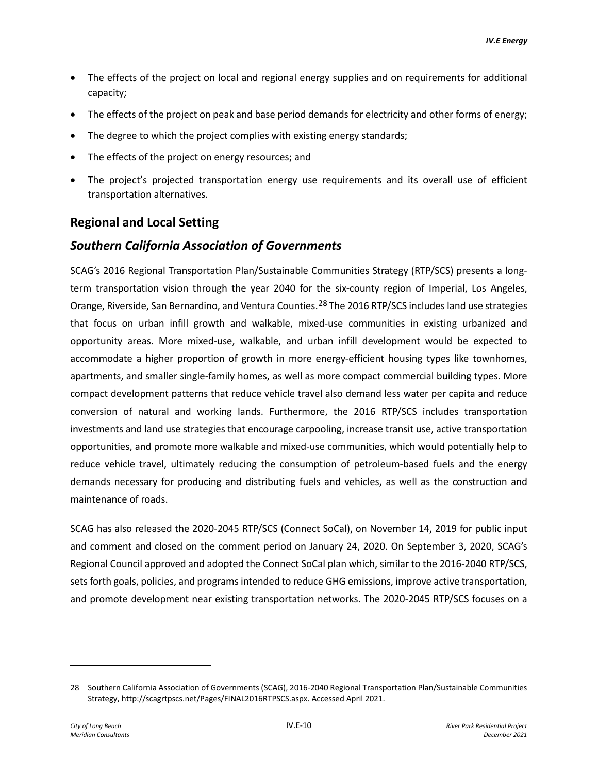- The effects of the project on local and regional energy supplies and on requirements for additional capacity;
- The effects of the project on peak and base period demands for electricity and other forms of energy;
- The degree to which the project complies with existing energy standards;
- The effects of the project on energy resources; and
- The project's projected transportation energy use requirements and its overall use of efficient transportation alternatives.

### **Regional and Local Setting**

### *Southern California Association of Governments*

SCAG's 2016 Regional Transportation Plan/Sustainable Communities Strategy (RTP/SCS) presents a longterm transportation vision through the year 2040 for the six-county region of Imperial, Los Angeles, Orange, Riverside, San Bernardino, and Ventura Counties.[28](#page-9-0) The 2016 RTP/SCS includes land use strategies that focus on urban infill growth and walkable, mixed-use communities in existing urbanized and opportunity areas. More mixed-use, walkable, and urban infill development would be expected to accommodate a higher proportion of growth in more energy-efficient housing types like townhomes, apartments, and smaller single-family homes, as well as more compact commercial building types. More compact development patterns that reduce vehicle travel also demand less water per capita and reduce conversion of natural and working lands. Furthermore, the 2016 RTP/SCS includes transportation investments and land use strategies that encourage carpooling, increase transit use, active transportation opportunities, and promote more walkable and mixed-use communities, which would potentially help to reduce vehicle travel, ultimately reducing the consumption of petroleum-based fuels and the energy demands necessary for producing and distributing fuels and vehicles, as well as the construction and maintenance of roads.

SCAG has also released the 2020-2045 RTP/SCS (Connect SoCal), on November 14, 2019 for public input and comment and closed on the comment period on January 24, 2020. On September 3, 2020, SCAG's Regional Council approved and adopted the Connect SoCal plan which, similar to the 2016-2040 RTP/SCS, sets forth goals, policies, and programs intended to reduce GHG emissions, improve active transportation, and promote development near existing transportation networks. The 2020-2045 RTP/SCS focuses on a

<span id="page-9-0"></span><sup>28</sup> Southern California Association of Governments (SCAG), 2016-2040 Regional Transportation Plan/Sustainable Communities Strategy, http://scagrtpscs.net/Pages/FINAL2016RTPSCS.aspx. Accessed April 2021.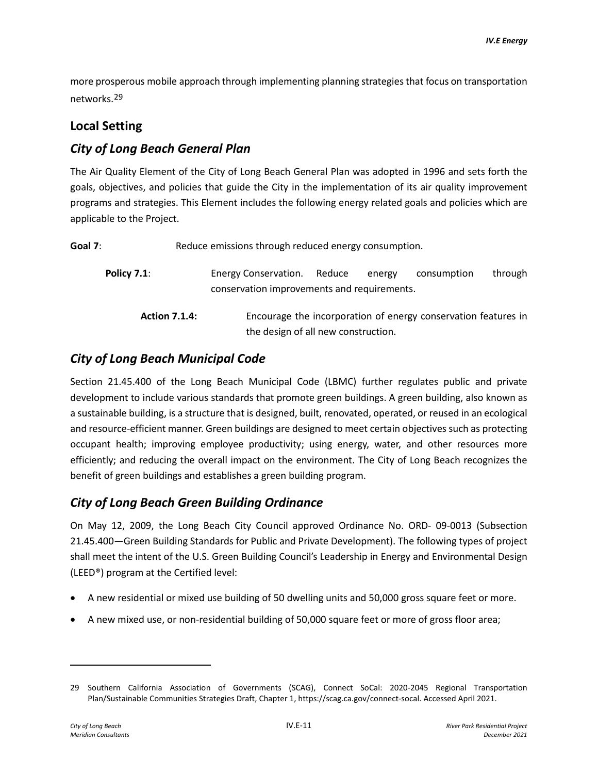more prosperous mobile approach through implementing planning strategies that focus on transportation networks.[29](#page-10-0)

### **Local Setting**

## *City of Long Beach General Plan*

The Air Quality Element of the City of Long Beach General Plan was adopted in 1996 and sets forth the goals, objectives, and policies that guide the City in the implementation of its air quality improvement programs and strategies. This Element includes the following energy related goals and policies which are applicable to the Project.

| Goal 7:              | Reduce emissions through reduced energy consumption. |                                                                                                                          |                                                                                                       |  |  |  |  |  |
|----------------------|------------------------------------------------------|--------------------------------------------------------------------------------------------------------------------------|-------------------------------------------------------------------------------------------------------|--|--|--|--|--|
|                      | <b>Policy 7.1:</b>                                   | Reduce<br>through<br><b>Energy Conservation.</b><br>consumption<br>energy<br>conservation improvements and requirements. |                                                                                                       |  |  |  |  |  |
| <b>Action 7.1.4:</b> |                                                      |                                                                                                                          | Encourage the incorporation of energy conservation features in<br>the design of all new construction. |  |  |  |  |  |

# *City of Long Beach Municipal Code*

Section 21.45.400 of the Long Beach Municipal Code (LBMC) further regulates public and private development to include various standards that promote green buildings. A green building, also known as a sustainable building, is a structure that is designed, built, renovated, operated, or reused in an ecological and resource-efficient manner. Green buildings are designed to meet certain objectives such as protecting occupant health; improving employee productivity; using energy, water, and other resources more efficiently; and reducing the overall impact on the environment. The City of Long Beach recognizes the benefit of green buildings and establishes a green building program.

## *City of Long Beach Green Building Ordinance*

On May 12, 2009, the Long Beach City Council approved Ordinance No. ORD- 09-0013 (Subsection 21.45.400—Green Building Standards for Public and Private Development). The following types of project shall meet the intent of the U.S. Green Building Council's Leadership in Energy and Environmental Design (LEED®) program at the Certified level:

- A new residential or mixed use building of 50 dwelling units and 50,000 gross square feet or more.
- A new mixed use, or non-residential building of 50,000 square feet or more of gross floor area;

<span id="page-10-0"></span><sup>29</sup> Southern California Association of Governments (SCAG), Connect SoCal: 2020-2045 Regional Transportation Plan/Sustainable Communities Strategies Draft, Chapter 1, https://scag.ca.gov/connect-socal. Accessed April 2021.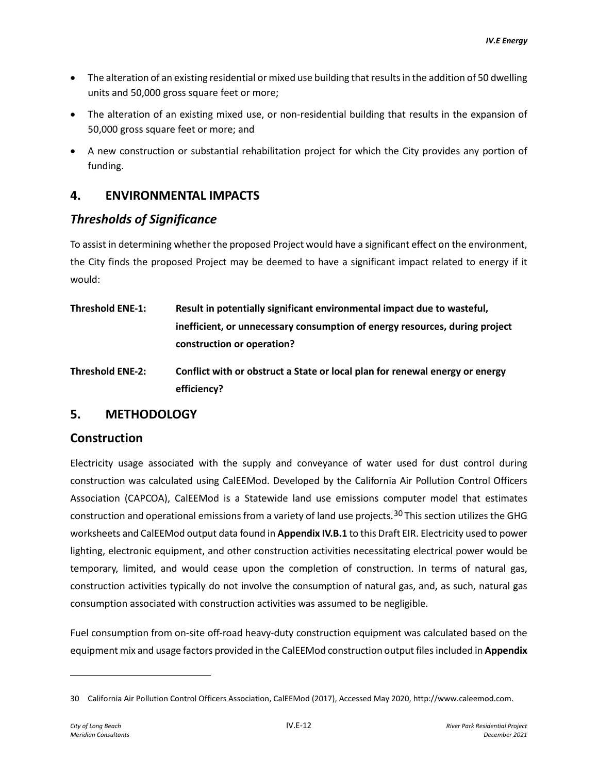- The alteration of an existing residential or mixed use building that results in the addition of 50 dwelling units and 50,000 gross square feet or more;
- The alteration of an existing mixed use, or non-residential building that results in the expansion of 50,000 gross square feet or more; and
- A new construction or substantial rehabilitation project for which the City provides any portion of funding.

## **4. ENVIRONMENTAL IMPACTS**

## *Thresholds of Significance*

To assist in determining whether the proposed Project would have a significant effect on the environment, the City finds the proposed Project may be deemed to have a significant impact related to energy if it would:

- **Threshold ENE-1: Result in potentially significant environmental impact due to wasteful, inefficient, or unnecessary consumption of energy resources, during project construction or operation?**
- **Threshold ENE-2: Conflict with or obstruct a State or local plan for renewal energy or energy efficiency?**

## **5. METHODOLOGY**

## **Construction**

Electricity usage associated with the supply and conveyance of water used for dust control during construction was calculated using CalEEMod. Developed by the California Air Pollution Control Officers Association (CAPCOA), CalEEMod is a Statewide land use emissions computer model that estimates construction and operational emissions from a variety of land use projects.<sup>[30](#page-11-0)</sup> This section utilizes the GHG worksheets and CalEEMod output data found in **Appendix IV.B.1** to this Draft EIR. Electricity used to power lighting, electronic equipment, and other construction activities necessitating electrical power would be temporary, limited, and would cease upon the completion of construction. In terms of natural gas, construction activities typically do not involve the consumption of natural gas, and, as such, natural gas consumption associated with construction activities was assumed to be negligible.

Fuel consumption from on-site off-road heavy-duty construction equipment was calculated based on the equipment mix and usage factors provided in the CalEEMod construction output files included in **Appendix** 

<span id="page-11-0"></span><sup>30</sup> California Air Pollution Control Officers Association, CalEEMod (2017), Accessed May 2020, http://www.caleemod.com.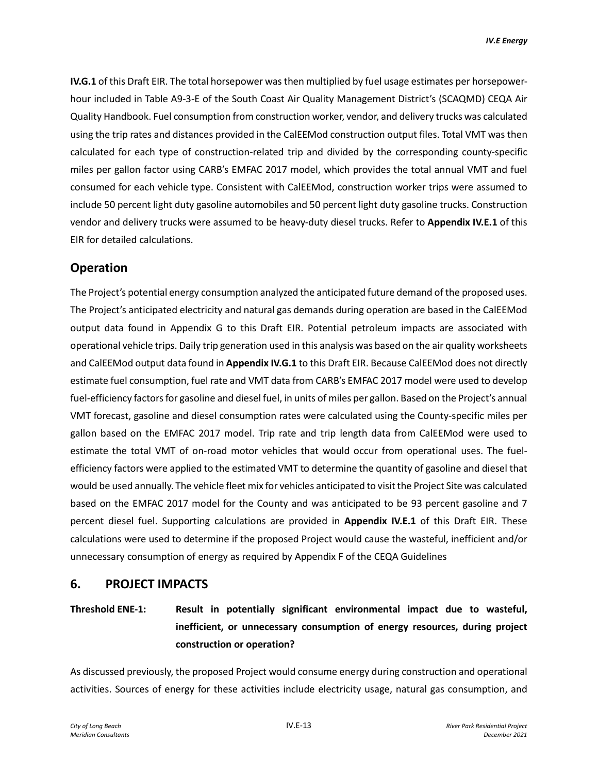**IV.G.1** of this Draft EIR. The total horsepower was then multiplied by fuel usage estimates per horsepowerhour included in Table A9-3-E of the South Coast Air Quality Management District's (SCAQMD) CEQA Air Quality Handbook. Fuel consumption from construction worker, vendor, and delivery trucks was calculated using the trip rates and distances provided in the CalEEMod construction output files. Total VMT was then calculated for each type of construction-related trip and divided by the corresponding county-specific miles per gallon factor using CARB's EMFAC 2017 model, which provides the total annual VMT and fuel consumed for each vehicle type. Consistent with CalEEMod, construction worker trips were assumed to include 50 percent light duty gasoline automobiles and 50 percent light duty gasoline trucks. Construction vendor and delivery trucks were assumed to be heavy-duty diesel trucks. Refer to **Appendix IV.E.1** of this EIR for detailed calculations.

# **Operation**

The Project's potential energy consumption analyzed the anticipated future demand of the proposed uses. The Project's anticipated electricity and natural gas demands during operation are based in the CalEEMod output data found in Appendix G to this Draft EIR. Potential petroleum impacts are associated with operational vehicle trips. Daily trip generation used in this analysis was based on the air quality worksheets and CalEEMod output data found in **Appendix IV.G.1** to this Draft EIR. Because CalEEMod does not directly estimate fuel consumption, fuel rate and VMT data from CARB's EMFAC 2017 model were used to develop fuel-efficiency factors for gasoline and diesel fuel, in units of miles per gallon. Based on the Project's annual VMT forecast, gasoline and diesel consumption rates were calculated using the County-specific miles per gallon based on the EMFAC 2017 model. Trip rate and trip length data from CalEEMod were used to estimate the total VMT of on-road motor vehicles that would occur from operational uses. The fuelefficiency factors were applied to the estimated VMT to determine the quantity of gasoline and diesel that would be used annually. The vehicle fleet mix for vehicles anticipated to visit the Project Site was calculated based on the EMFAC 2017 model for the County and was anticipated to be 93 percent gasoline and 7 percent diesel fuel. Supporting calculations are provided in **Appendix IV.E.1** of this Draft EIR. These calculations were used to determine if the proposed Project would cause the wasteful, inefficient and/or unnecessary consumption of energy as required by Appendix F of the CEQA Guidelines

## **6. PROJECT IMPACTS**

**Threshold ENE-1: Result in potentially significant environmental impact due to wasteful, inefficient, or unnecessary consumption of energy resources, during project construction or operation?**

As discussed previously, the proposed Project would consume energy during construction and operational activities. Sources of energy for these activities include electricity usage, natural gas consumption, and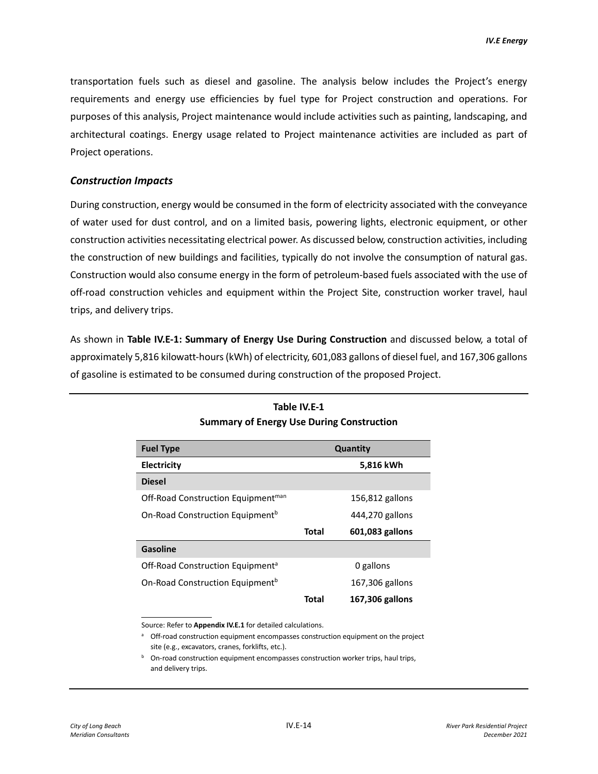transportation fuels such as diesel and gasoline. The analysis below includes the Project's energy requirements and energy use efficiencies by fuel type for Project construction and operations. For purposes of this analysis, Project maintenance would include activities such as painting, landscaping, and architectural coatings. Energy usage related to Project maintenance activities are included as part of Project operations.

#### *Construction Impacts*

During construction, energy would be consumed in the form of electricity associated with the conveyance of water used for dust control, and on a limited basis, powering lights, electronic equipment, or other construction activities necessitating electrical power. As discussed below, construction activities, including the construction of new buildings and facilities, typically do not involve the consumption of natural gas. Construction would also consume energy in the form of petroleum-based fuels associated with the use of off-road construction vehicles and equipment within the Project Site, construction worker travel, haul trips, and delivery trips.

As shown in **Table IV.E-1: Summary of Energy Use During Construction** and discussed below, a total of approximately 5,816 kilowatt-hours (kWh) of electricity, 601,083 gallons of diesel fuel, and 167,306 gallons of gasoline is estimated to be consumed during construction of the proposed Project.

| <b>Fuel Type</b>                               | Quantity |                 |  |  |
|------------------------------------------------|----------|-----------------|--|--|
| Electricity                                    |          | 5,816 kWh       |  |  |
| <b>Diesel</b>                                  |          |                 |  |  |
| Off-Road Construction Equipment <sup>man</sup> |          | 156,812 gallons |  |  |
| On-Road Construction Equipment <sup>b</sup>    |          | 444,270 gallons |  |  |
|                                                | Total    | 601,083 gallons |  |  |
| Gasoline                                       |          |                 |  |  |
| Off-Road Construction Equipment <sup>a</sup>   |          | 0 gallons       |  |  |
| On-Road Construction Equipment <sup>b</sup>    |          | 167,306 gallons |  |  |
|                                                | Total    | 167,306 gallons |  |  |

### **Table IV.E-1 Summary of Energy Use During Construction**

Source: Refer to **Appendix IV.E.1** for detailed calculations.

<sup>a</sup> Off-road construction equipment encompasses construction equipment on the project site (e.g., excavators, cranes, forklifts, etc.).

 $b$  On-road construction equipment encompasses construction worker trips, haul trips, and delivery trips.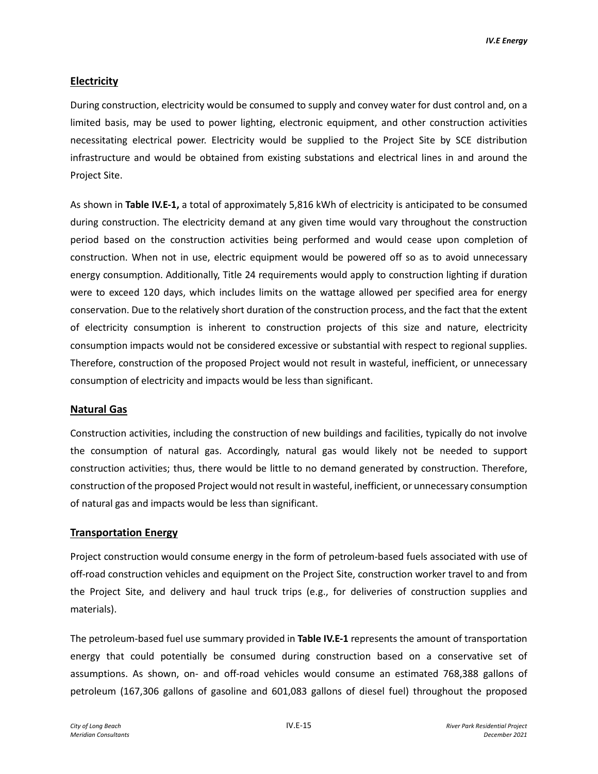#### **Electricity**

During construction, electricity would be consumed to supply and convey water for dust control and, on a limited basis, may be used to power lighting, electronic equipment, and other construction activities necessitating electrical power. Electricity would be supplied to the Project Site by SCE distribution infrastructure and would be obtained from existing substations and electrical lines in and around the Project Site.

As shown in **Table IV.E-1,** a total of approximately 5,816 kWh of electricity is anticipated to be consumed during construction. The electricity demand at any given time would vary throughout the construction period based on the construction activities being performed and would cease upon completion of construction. When not in use, electric equipment would be powered off so as to avoid unnecessary energy consumption. Additionally, Title 24 requirements would apply to construction lighting if duration were to exceed 120 days, which includes limits on the wattage allowed per specified area for energy conservation. Due to the relatively short duration of the construction process, and the fact that the extent of electricity consumption is inherent to construction projects of this size and nature, electricity consumption impacts would not be considered excessive or substantial with respect to regional supplies. Therefore, construction of the proposed Project would not result in wasteful, inefficient, or unnecessary consumption of electricity and impacts would be less than significant.

#### **Natural Gas**

Construction activities, including the construction of new buildings and facilities, typically do not involve the consumption of natural gas. Accordingly, natural gas would likely not be needed to support construction activities; thus, there would be little to no demand generated by construction. Therefore, construction of the proposed Project would not result in wasteful, inefficient, or unnecessary consumption of natural gas and impacts would be less than significant.

#### **Transportation Energy**

Project construction would consume energy in the form of petroleum-based fuels associated with use of off-road construction vehicles and equipment on the Project Site, construction worker travel to and from the Project Site, and delivery and haul truck trips (e.g., for deliveries of construction supplies and materials).

The petroleum-based fuel use summary provided in **Table IV.E-1** represents the amount of transportation energy that could potentially be consumed during construction based on a conservative set of assumptions. As shown, on- and off-road vehicles would consume an estimated 768,388 gallons of petroleum (167,306 gallons of gasoline and 601,083 gallons of diesel fuel) throughout the proposed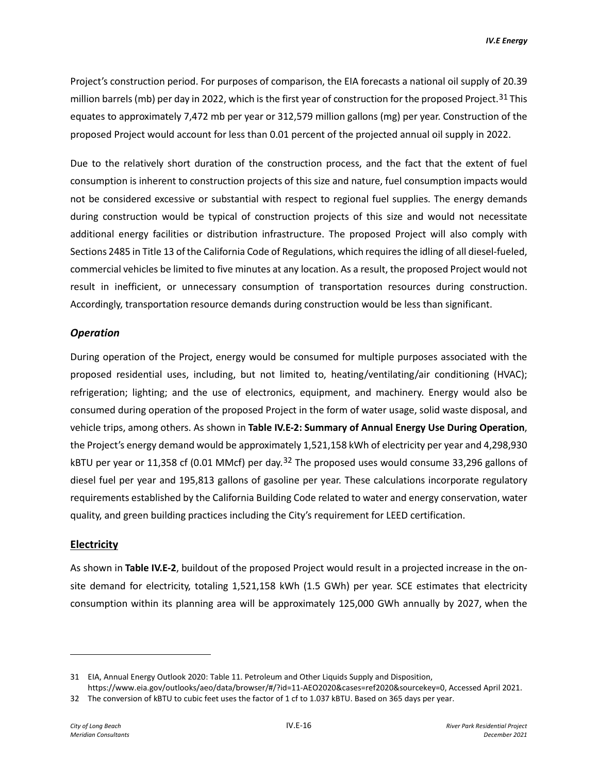Project's construction period. For purposes of comparison, the EIA forecasts a national oil supply of 20.39 million barrels (mb) per day in 2022, which is the first year of construction for the proposed Project.<sup>[31](#page-15-0)</sup> This equates to approximately 7,472 mb per year or 312,579 million gallons (mg) per year. Construction of the proposed Project would account for less than 0.01 percent of the projected annual oil supply in 2022.

Due to the relatively short duration of the construction process, and the fact that the extent of fuel consumption is inherent to construction projects of this size and nature, fuel consumption impacts would not be considered excessive or substantial with respect to regional fuel supplies. The energy demands during construction would be typical of construction projects of this size and would not necessitate additional energy facilities or distribution infrastructure. The proposed Project will also comply with Sections 2485 in Title 13 of the California Code of Regulations, which requires the idling of all diesel-fueled, commercial vehicles be limited to five minutes at any location. As a result, the proposed Project would not result in inefficient, or unnecessary consumption of transportation resources during construction. Accordingly, transportation resource demands during construction would be less than significant.

#### *Operation*

During operation of the Project, energy would be consumed for multiple purposes associated with the proposed residential uses, including, but not limited to, heating/ventilating/air conditioning (HVAC); refrigeration; lighting; and the use of electronics, equipment, and machinery. Energy would also be consumed during operation of the proposed Project in the form of water usage, solid waste disposal, and vehicle trips, among others. As shown in **Table IV.E-2: Summary of Annual Energy Use During Operation**, the Project's energy demand would be approximately 1,521,158 kWh of electricity per year and 4,298,930 kBTU per year or 11,358 cf (0.01 MMcf) per day.<sup>[32](#page-15-1)</sup> The proposed uses would consume 33,296 gallons of diesel fuel per year and 195,813 gallons of gasoline per year. These calculations incorporate regulatory requirements established by the California Building Code related to water and energy conservation, water quality, and green building practices including the City's requirement for LEED certification.

#### **Electricity**

As shown in **Table IV.E-2**, buildout of the proposed Project would result in a projected increase in the onsite demand for electricity, totaling 1,521,158 kWh (1.5 GWh) per year. SCE estimates that electricity consumption within its planning area will be approximately 125,000 GWh annually by 2027, when the

<span id="page-15-0"></span><sup>31</sup> EIA, Annual Energy Outlook 2020: Table 11. Petroleum and Other Liquids Supply and Disposition,

https://www.eia.gov/outlooks/aeo/data/browser/#/?id=11-AEO2020&cases=ref2020&sourcekey=0, Accessed April 2021.

<span id="page-15-1"></span><sup>32</sup> The conversion of kBTU to cubic feet uses the factor of 1 cf to 1.037 kBTU. Based on 365 days per year.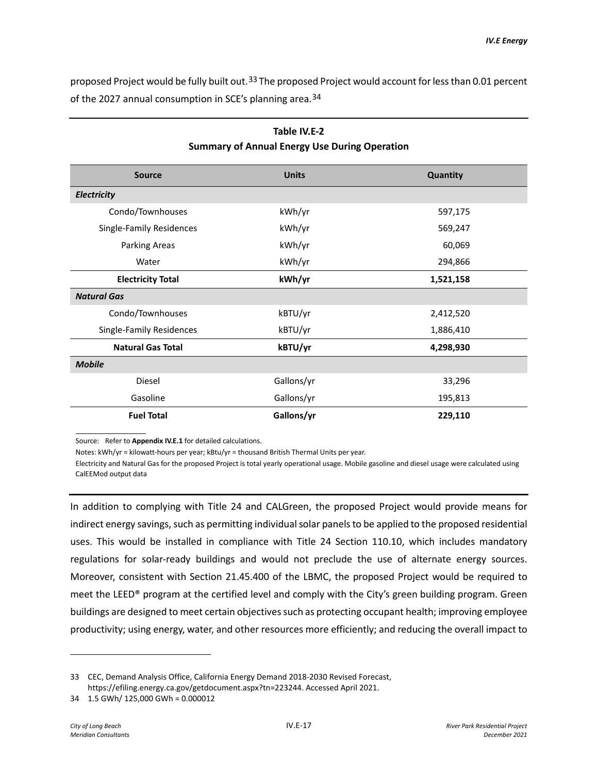proposed Project would be fully built out.<sup>[33](#page-16-0)</sup> The proposed Project would account for less than 0.01 percent of the 2027 annual consumption in SCE's planning area.<sup>[34](#page-16-1)</sup>

| <b>Source</b>            | <b>Units</b> | Quantity  |
|--------------------------|--------------|-----------|
| Electricity              |              |           |
| Condo/Townhouses         | kWh/yr       | 597,175   |
| Single-Family Residences | kWh/yr       | 569,247   |
| <b>Parking Areas</b>     | kWh/yr       | 60,069    |
| Water                    | kWh/yr       | 294,866   |
| <b>Electricity Total</b> | kWh/yr       | 1,521,158 |
| <b>Natural Gas</b>       |              |           |
| Condo/Townhouses         | kBTU/yr      | 2,412,520 |
| Single-Family Residences | kBTU/yr      | 1,886,410 |
| <b>Natural Gas Total</b> | kBTU/yr      | 4,298,930 |
| <b>Mobile</b>            |              |           |
| Diesel                   | Gallons/yr   | 33,296    |
| Gasoline                 | Gallons/yr   | 195,813   |
| <b>Fuel Total</b>        | Gallons/yr   | 229,110   |

### **Table IV.E-2 Summary of Annual Energy Use During Operation**

Source: Refer to **Appendix IV.E.1** for detailed calculations.

Notes: kWh/yr = kilowatt-hours per year; kBtu/yr = thousand British Thermal Units per year.

Electricity and Natural Gas for the proposed Project is total yearly operational usage. Mobile gasoline and diesel usage were calculated using CalEEMod output data

In addition to complying with Title 24 and CALGreen, the proposed Project would provide means for indirect energy savings, such as permitting individual solar panels to be applied to the proposed residential uses. This would be installed in compliance with Title 24 Section 110.10, which includes mandatory regulations for solar-ready buildings and would not preclude the use of alternate energy sources. Moreover, consistent with Section 21.45.400 of the LBMC, the proposed Project would be required to meet the LEED® program at the certified level and comply with the City's green building program. Green buildings are designed to meet certain objectives such as protecting occupant health; improving employee productivity; using energy, water, and other resources more efficiently; and reducing the overall impact to

<span id="page-16-0"></span><sup>33</sup> CEC, Demand Analysis Office, California Energy Demand 2018-2030 Revised Forecast, https://efiling.energy.ca.gov/getdocument.aspx?tn=223244. Accessed April 2021.

<span id="page-16-1"></span><sup>34 1.5</sup> GWh/ 125,000 GWh = 0.000012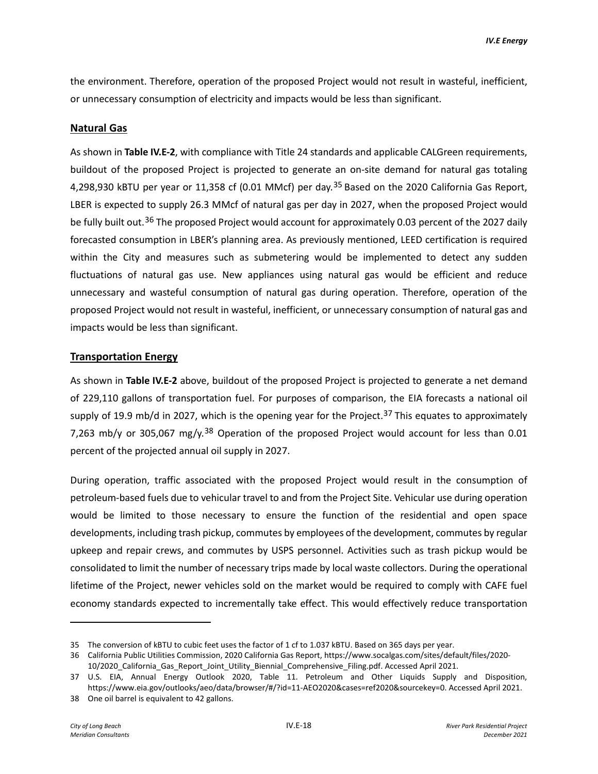the environment. Therefore, operation of the proposed Project would not result in wasteful, inefficient, or unnecessary consumption of electricity and impacts would be less than significant.

#### **Natural Gas**

As shown in **Table IV.E-2**, with compliance with Title 24 standards and applicable CALGreen requirements, buildout of the proposed Project is projected to generate an on-site demand for natural gas totaling 4,298,930 kBTU per year or 11,[35](#page-17-0)8 cf (0.01 MMcf) per day.<sup>35</sup> Based on the 2020 California Gas Report, LBER is expected to supply 26.3 MMcf of natural gas per day in 2027, when the proposed Project would be fully built out.<sup>[36](#page-17-1)</sup> The proposed Project would account for approximately 0.03 percent of the 2027 daily forecasted consumption in LBER's planning area. As previously mentioned, LEED certification is required within the City and measures such as submetering would be implemented to detect any sudden fluctuations of natural gas use. New appliances using natural gas would be efficient and reduce unnecessary and wasteful consumption of natural gas during operation. Therefore, operation of the proposed Project would not result in wasteful, inefficient, or unnecessary consumption of natural gas and impacts would be less than significant.

#### **Transportation Energy**

As shown in **Table IV.E-2** above, buildout of the proposed Project is projected to generate a net demand of 229,110 gallons of transportation fuel. For purposes of comparison, the EIA forecasts a national oil supply of 19.9 mb/d in 2027, which is the opening year for the Project.<sup>[37](#page-17-2)</sup> This equates to approximately 7,263 mb/y or 305,067 mg/y.<sup>[38](#page-17-3)</sup> Operation of the proposed Project would account for less than 0.01 percent of the projected annual oil supply in 2027.

During operation, traffic associated with the proposed Project would result in the consumption of petroleum-based fuels due to vehicular travel to and from the Project Site. Vehicular use during operation would be limited to those necessary to ensure the function of the residential and open space developments, including trash pickup, commutes by employees of the development, commutes by regular upkeep and repair crews, and commutes by USPS personnel. Activities such as trash pickup would be consolidated to limit the number of necessary trips made by local waste collectors. During the operational lifetime of the Project, newer vehicles sold on the market would be required to comply with CAFE fuel economy standards expected to incrementally take effect. This would effectively reduce transportation

<span id="page-17-1"></span><span id="page-17-0"></span><sup>35</sup> The conversion of kBTU to cubic feet uses the factor of 1 cf to 1.037 kBTU. Based on 365 days per year.

<sup>36</sup> California Public Utilities Commission, 2020 California Gas Report, https://www.socalgas.com/sites/default/files/2020- 10/2020\_California\_Gas\_Report\_Joint\_Utility\_Biennial\_Comprehensive\_Filing.pdf. Accessed April 2021.

<span id="page-17-2"></span><sup>37</sup> U.S. EIA, Annual Energy Outlook 2020, Table 11. Petroleum and Other Liquids Supply and Disposition, https://www.eia.gov/outlooks/aeo/data/browser/#/?id=11-AEO2020&cases=ref2020&sourcekey=0. Accessed April 2021.

<span id="page-17-3"></span><sup>38</sup> One oil barrel is equivalent to 42 gallons.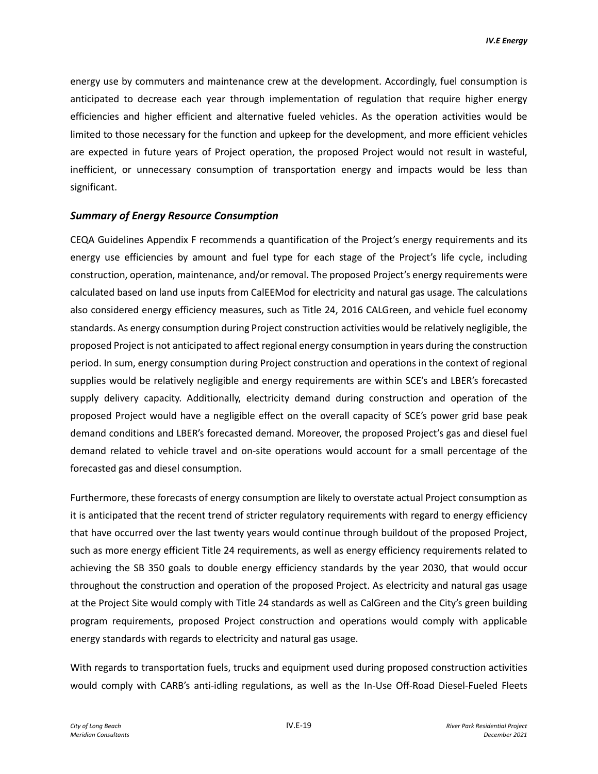energy use by commuters and maintenance crew at the development. Accordingly, fuel consumption is anticipated to decrease each year through implementation of regulation that require higher energy efficiencies and higher efficient and alternative fueled vehicles. As the operation activities would be limited to those necessary for the function and upkeep for the development, and more efficient vehicles are expected in future years of Project operation, the proposed Project would not result in wasteful, inefficient, or unnecessary consumption of transportation energy and impacts would be less than significant.

#### *Summary of Energy Resource Consumption*

CEQA Guidelines Appendix F recommends a quantification of the Project's energy requirements and its energy use efficiencies by amount and fuel type for each stage of the Project's life cycle, including construction, operation, maintenance, and/or removal. The proposed Project's energy requirements were calculated based on land use inputs from CalEEMod for electricity and natural gas usage. The calculations also considered energy efficiency measures, such as Title 24, 2016 CALGreen, and vehicle fuel economy standards. As energy consumption during Project construction activities would be relatively negligible, the proposed Project is not anticipated to affect regional energy consumption in years during the construction period. In sum, energy consumption during Project construction and operations in the context of regional supplies would be relatively negligible and energy requirements are within SCE's and LBER's forecasted supply delivery capacity. Additionally, electricity demand during construction and operation of the proposed Project would have a negligible effect on the overall capacity of SCE's power grid base peak demand conditions and LBER's forecasted demand. Moreover, the proposed Project's gas and diesel fuel demand related to vehicle travel and on-site operations would account for a small percentage of the forecasted gas and diesel consumption.

Furthermore, these forecasts of energy consumption are likely to overstate actual Project consumption as it is anticipated that the recent trend of stricter regulatory requirements with regard to energy efficiency that have occurred over the last twenty years would continue through buildout of the proposed Project, such as more energy efficient Title 24 requirements, as well as energy efficiency requirements related to achieving the SB 350 goals to double energy efficiency standards by the year 2030, that would occur throughout the construction and operation of the proposed Project. As electricity and natural gas usage at the Project Site would comply with Title 24 standards as well as CalGreen and the City's green building program requirements, proposed Project construction and operations would comply with applicable energy standards with regards to electricity and natural gas usage.

With regards to transportation fuels, trucks and equipment used during proposed construction activities would comply with CARB's anti-idling regulations, as well as the In-Use Off-Road Diesel-Fueled Fleets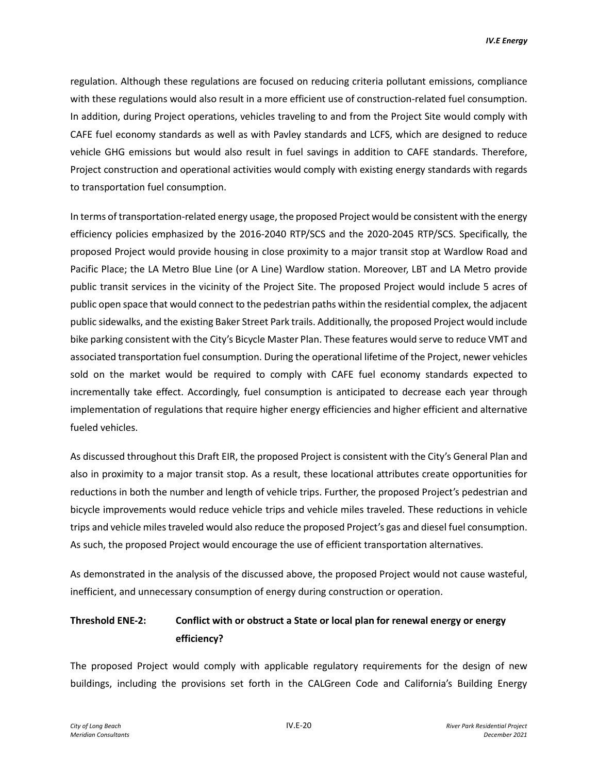regulation. Although these regulations are focused on reducing criteria pollutant emissions, compliance with these regulations would also result in a more efficient use of construction-related fuel consumption. In addition, during Project operations, vehicles traveling to and from the Project Site would comply with CAFE fuel economy standards as well as with Pavley standards and LCFS, which are designed to reduce vehicle GHG emissions but would also result in fuel savings in addition to CAFE standards. Therefore, Project construction and operational activities would comply with existing energy standards with regards to transportation fuel consumption.

In terms of transportation-related energy usage, the proposed Project would be consistent with the energy efficiency policies emphasized by the 2016-2040 RTP/SCS and the 2020-2045 RTP/SCS. Specifically, the proposed Project would provide housing in close proximity to a major transit stop at Wardlow Road and Pacific Place; the LA Metro Blue Line (or A Line) Wardlow station. Moreover, LBT and LA Metro provide public transit services in the vicinity of the Project Site. The proposed Project would include 5 acres of public open space that would connect to the pedestrian paths within the residential complex, the adjacent public sidewalks, and the existing Baker Street Park trails. Additionally, the proposed Project would include bike parking consistent with the City's Bicycle Master Plan. These features would serve to reduce VMT and associated transportation fuel consumption. During the operational lifetime of the Project, newer vehicles sold on the market would be required to comply with CAFE fuel economy standards expected to incrementally take effect. Accordingly, fuel consumption is anticipated to decrease each year through implementation of regulations that require higher energy efficiencies and higher efficient and alternative fueled vehicles.

As discussed throughout this Draft EIR, the proposed Project is consistent with the City's General Plan and also in proximity to a major transit stop. As a result, these locational attributes create opportunities for reductions in both the number and length of vehicle trips. Further, the proposed Project's pedestrian and bicycle improvements would reduce vehicle trips and vehicle miles traveled. These reductions in vehicle trips and vehicle miles traveled would also reduce the proposed Project's gas and diesel fuel consumption. As such, the proposed Project would encourage the use of efficient transportation alternatives.

As demonstrated in the analysis of the discussed above, the proposed Project would not cause wasteful, inefficient, and unnecessary consumption of energy during construction or operation.

## **Threshold ENE-2: Conflict with or obstruct a State or local plan for renewal energy or energy efficiency?**

The proposed Project would comply with applicable regulatory requirements for the design of new buildings, including the provisions set forth in the CALGreen Code and California's Building Energy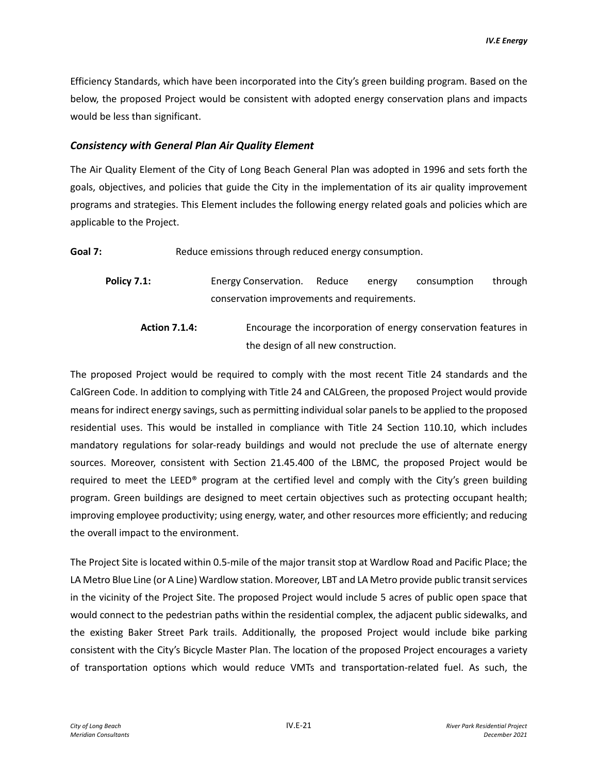Efficiency Standards, which have been incorporated into the City's green building program. Based on the below, the proposed Project would be consistent with adopted energy conservation plans and impacts would be less than significant.

#### *Consistency with General Plan Air Quality Element*

The Air Quality Element of the City of Long Beach General Plan was adopted in 1996 and sets forth the goals, objectives, and policies that guide the City in the implementation of its air quality improvement programs and strategies. This Element includes the following energy related goals and policies which are applicable to the Project.

Goal 7: Reduce emissions through reduced energy consumption.

**Policy 7.1:** Energy Conservation. Reduce energy consumption through conservation improvements and requirements.

**Action 7.1.4:** Encourage the incorporation of energy conservation features in the design of all new construction.

The proposed Project would be required to comply with the most recent Title 24 standards and the CalGreen Code. In addition to complying with Title 24 and CALGreen, the proposed Project would provide means for indirect energy savings, such as permitting individual solar panels to be applied to the proposed residential uses. This would be installed in compliance with Title 24 Section 110.10, which includes mandatory regulations for solar-ready buildings and would not preclude the use of alternate energy sources. Moreover, consistent with Section 21.45.400 of the LBMC, the proposed Project would be required to meet the LEED® program at the certified level and comply with the City's green building program. Green buildings are designed to meet certain objectives such as protecting occupant health; improving employee productivity; using energy, water, and other resources more efficiently; and reducing the overall impact to the environment.

The Project Site is located within 0.5-mile of the major transit stop at Wardlow Road and Pacific Place; the LA Metro Blue Line (or A Line) Wardlow station. Moreover, LBT and LA Metro provide public transit services in the vicinity of the Project Site. The proposed Project would include 5 acres of public open space that would connect to the pedestrian paths within the residential complex, the adjacent public sidewalks, and the existing Baker Street Park trails. Additionally, the proposed Project would include bike parking consistent with the City's Bicycle Master Plan. The location of the proposed Project encourages a variety of transportation options which would reduce VMTs and transportation-related fuel. As such, the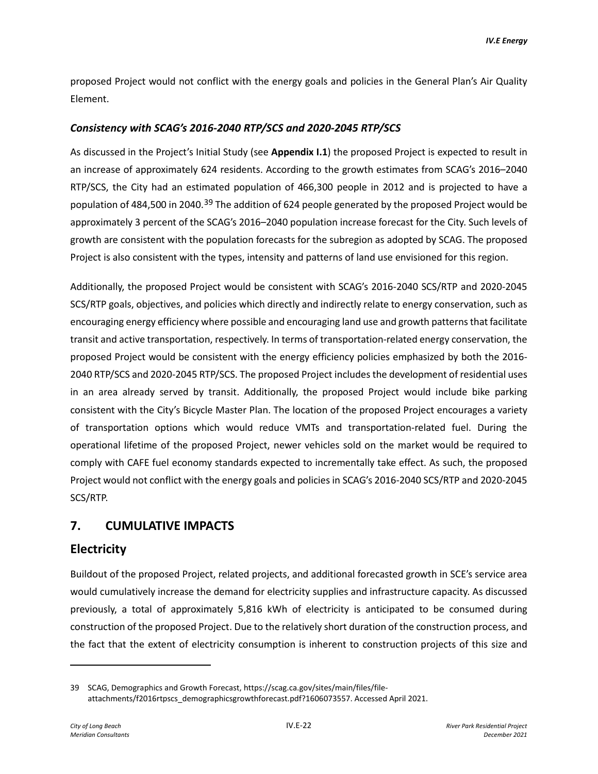proposed Project would not conflict with the energy goals and policies in the General Plan's Air Quality Element.

#### *Consistency with SCAG's 2016-2040 RTP/SCS and 2020-2045 RTP/SCS*

As discussed in the Project's Initial Study (see **Appendix I.1**) the proposed Project is expected to result in an increase of approximately 624 residents. According to the growth estimates from SCAG's 2016–2040 RTP/SCS, the City had an estimated population of 466,300 people in 2012 and is projected to have a population of 484,500 in 2040.<sup>[39](#page-21-0)</sup> The addition of 624 people generated by the proposed Project would be approximately 3 percent of the SCAG's 2016–2040 population increase forecast for the City. Such levels of growth are consistent with the population forecasts for the subregion as adopted by SCAG. The proposed Project is also consistent with the types, intensity and patterns of land use envisioned for this region.

Additionally, the proposed Project would be consistent with SCAG's 2016-2040 SCS/RTP and 2020-2045 SCS/RTP goals, objectives, and policies which directly and indirectly relate to energy conservation, such as encouraging energy efficiency where possible and encouraging land use and growth patterns that facilitate transit and active transportation, respectively. In terms of transportation-related energy conservation, the proposed Project would be consistent with the energy efficiency policies emphasized by both the 2016- 2040 RTP/SCS and 2020-2045 RTP/SCS. The proposed Project includes the development of residential uses in an area already served by transit. Additionally, the proposed Project would include bike parking consistent with the City's Bicycle Master Plan. The location of the proposed Project encourages a variety of transportation options which would reduce VMTs and transportation-related fuel. During the operational lifetime of the proposed Project, newer vehicles sold on the market would be required to comply with CAFE fuel economy standards expected to incrementally take effect. As such, the proposed Project would not conflict with the energy goals and policies in SCAG's 2016-2040 SCS/RTP and 2020-2045 SCS/RTP.

## **7. CUMULATIVE IMPACTS**

## **Electricity**

Buildout of the proposed Project, related projects, and additional forecasted growth in SCE's service area would cumulatively increase the demand for electricity supplies and infrastructure capacity. As discussed previously, a total of approximately 5,816 kWh of electricity is anticipated to be consumed during construction of the proposed Project. Due to the relatively short duration of the construction process, and the fact that the extent of electricity consumption is inherent to construction projects of this size and

<span id="page-21-0"></span><sup>39</sup> SCAG, Demographics and Growth Forecast, https://scag.ca.gov/sites/main/files/fileattachments/f2016rtpscs\_demographicsgrowthforecast.pdf?1606073557. Accessed April 2021.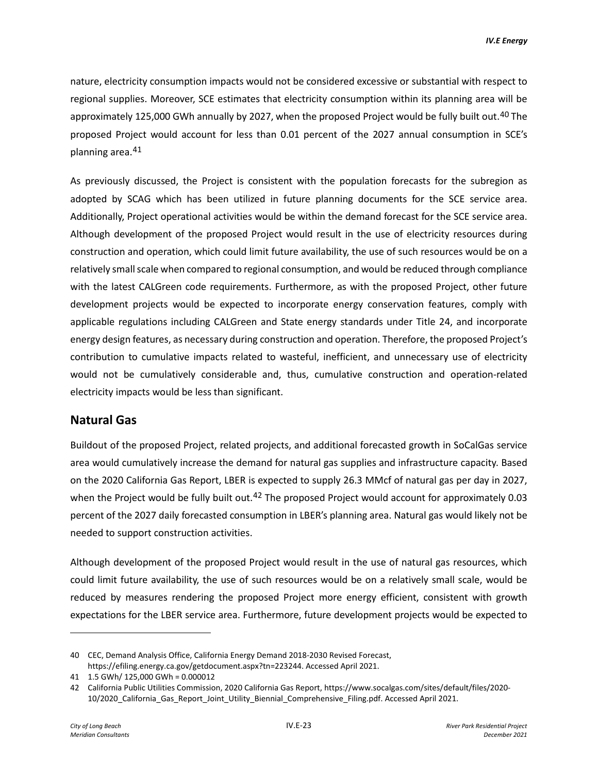nature, electricity consumption impacts would not be considered excessive or substantial with respect to regional supplies. Moreover, SCE estimates that electricity consumption within its planning area will be approximately 125,000 GWh annually by 2027, when the proposed Project would be fully built out.<sup>[40](#page-22-0)</sup> The proposed Project would account for less than 0.01 percent of the 2027 annual consumption in SCE's planning area.[41](#page-22-1)

As previously discussed, the Project is consistent with the population forecasts for the subregion as adopted by SCAG which has been utilized in future planning documents for the SCE service area. Additionally, Project operational activities would be within the demand forecast for the SCE service area. Although development of the proposed Project would result in the use of electricity resources during construction and operation, which could limit future availability, the use of such resources would be on a relatively small scale when compared to regional consumption, and would be reduced through compliance with the latest CALGreen code requirements. Furthermore, as with the proposed Project, other future development projects would be expected to incorporate energy conservation features, comply with applicable regulations including CALGreen and State energy standards under Title 24, and incorporate energy design features, as necessary during construction and operation. Therefore, the proposed Project's contribution to cumulative impacts related to wasteful, inefficient, and unnecessary use of electricity would not be cumulatively considerable and, thus, cumulative construction and operation-related electricity impacts would be less than significant.

#### **Natural Gas**

Buildout of the proposed Project, related projects, and additional forecasted growth in SoCalGas service area would cumulatively increase the demand for natural gas supplies and infrastructure capacity. Based on the 2020 California Gas Report, LBER is expected to supply 26.3 MMcf of natural gas per day in 2027, when the Project would be fully built out.<sup>[42](#page-22-2)</sup> The proposed Project would account for approximately 0.03 percent of the 2027 daily forecasted consumption in LBER's planning area. Natural gas would likely not be needed to support construction activities.

Although development of the proposed Project would result in the use of natural gas resources, which could limit future availability, the use of such resources would be on a relatively small scale, would be reduced by measures rendering the proposed Project more energy efficient, consistent with growth expectations for the LBER service area. Furthermore, future development projects would be expected to

<span id="page-22-0"></span><sup>40</sup> CEC, Demand Analysis Office, California Energy Demand 2018-2030 Revised Forecast, https://efiling.energy.ca.gov/getdocument.aspx?tn=223244. Accessed April 2021.

<span id="page-22-1"></span><sup>41 1.5</sup> GWh/ 125,000 GWh = 0.000012

<span id="page-22-2"></span><sup>42</sup> California Public Utilities Commission, 2020 California Gas Report, https://www.socalgas.com/sites/default/files/2020- 10/2020\_California\_Gas\_Report\_Joint\_Utility\_Biennial\_Comprehensive\_Filing.pdf. Accessed April 2021.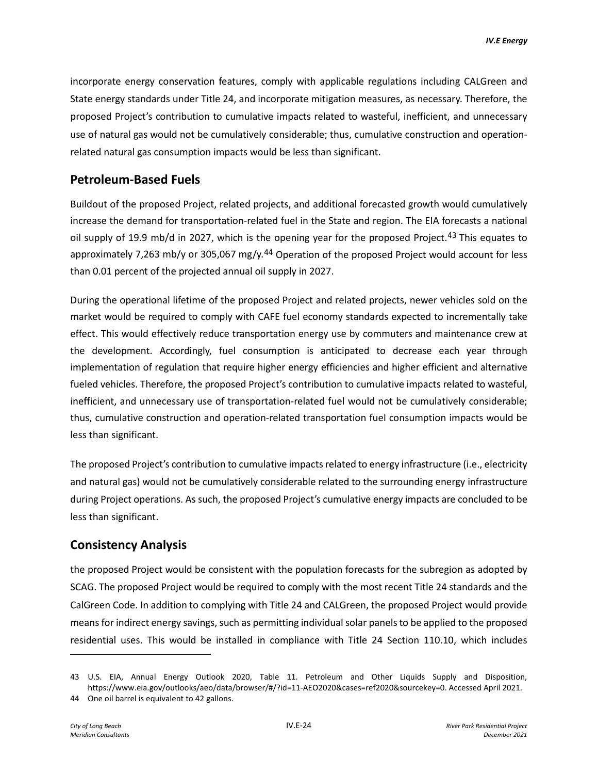incorporate energy conservation features, comply with applicable regulations including CALGreen and State energy standards under Title 24, and incorporate mitigation measures, as necessary. Therefore, the proposed Project's contribution to cumulative impacts related to wasteful, inefficient, and unnecessary use of natural gas would not be cumulatively considerable; thus, cumulative construction and operationrelated natural gas consumption impacts would be less than significant.

### **Petroleum-Based Fuels**

Buildout of the proposed Project, related projects, and additional forecasted growth would cumulatively increase the demand for transportation-related fuel in the State and region. The EIA forecasts a national oil supply of 19.9 mb/d in 2027, which is the opening year for the proposed Project.<sup>[43](#page-23-0)</sup> This equates to approximately 7,263 mb/y or 305,067 mg/y.<sup>[44](#page-23-1)</sup> Operation of the proposed Project would account for less than 0.01 percent of the projected annual oil supply in 2027.

During the operational lifetime of the proposed Project and related projects, newer vehicles sold on the market would be required to comply with CAFE fuel economy standards expected to incrementally take effect. This would effectively reduce transportation energy use by commuters and maintenance crew at the development. Accordingly, fuel consumption is anticipated to decrease each year through implementation of regulation that require higher energy efficiencies and higher efficient and alternative fueled vehicles. Therefore, the proposed Project's contribution to cumulative impacts related to wasteful, inefficient, and unnecessary use of transportation-related fuel would not be cumulatively considerable; thus, cumulative construction and operation-related transportation fuel consumption impacts would be less than significant.

The proposed Project's contribution to cumulative impacts related to energy infrastructure (i.e., electricity and natural gas) would not be cumulatively considerable related to the surrounding energy infrastructure during Project operations. As such, the proposed Project's cumulative energy impacts are concluded to be less than significant.

## **Consistency Analysis**

the proposed Project would be consistent with the population forecasts for the subregion as adopted by SCAG. The proposed Project would be required to comply with the most recent Title 24 standards and the CalGreen Code. In addition to complying with Title 24 and CALGreen, the proposed Project would provide means for indirect energy savings, such as permitting individual solar panels to be applied to the proposed residential uses. This would be installed in compliance with Title 24 Section 110.10, which includes

<span id="page-23-0"></span><sup>43</sup> U.S. EIA, Annual Energy Outlook 2020, Table 11. Petroleum and Other Liquids Supply and Disposition, https://www.eia.gov/outlooks/aeo/data/browser/#/?id=11-AEO2020&cases=ref2020&sourcekey=0. Accessed April 2021.

<span id="page-23-1"></span><sup>44</sup> One oil barrel is equivalent to 42 gallons.